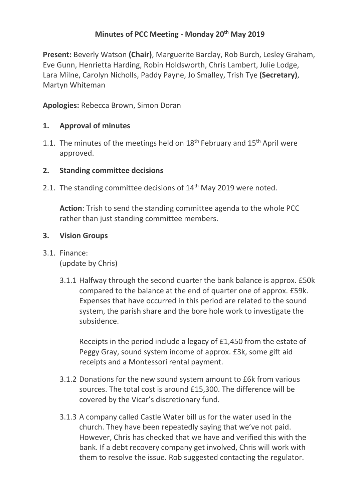# **Minutes of PCC Meeting - Monday 20th May 2019**

**Present:** Beverly Watson **(Chair)**, Marguerite Barclay, Rob Burch, Lesley Graham, Eve Gunn, Henrietta Harding, Robin Holdsworth, Chris Lambert, Julie Lodge, Lara Milne, Carolyn Nicholls, Paddy Payne, Jo Smalley, Trish Tye **(Secretary)**, Martyn Whiteman

**Apologies:** Rebecca Brown, Simon Doran

## **1. Approval of minutes**

1.1. The minutes of the meetings held on  $18<sup>th</sup>$  February and  $15<sup>th</sup>$  April were approved.

## **2. Standing committee decisions**

2.1. The standing committee decisions of 14<sup>th</sup> May 2019 were noted.

**Action**: Trish to send the standing committee agenda to the whole PCC rather than just standing committee members.

## **3. Vision Groups**

- 3.1. Finance: (update by Chris)
	- 3.1.1 Halfway through the second quarter the bank balance is approx. £50k compared to the balance at the end of quarter one of approx. £59k. Expenses that have occurred in this period are related to the sound system, the parish share and the bore hole work to investigate the subsidence.

Receipts in the period include a legacy of £1,450 from the estate of Peggy Gray, sound system income of approx. £3k, some gift aid receipts and a Montessori rental payment.

- 3.1.2 Donations for the new sound system amount to £6k from various sources. The total cost is around £15,300. The difference will be covered by the Vicar's discretionary fund.
- 3.1.3 A company called Castle Water bill us for the water used in the church. They have been repeatedly saying that we've not paid. However, Chris has checked that we have and verified this with the bank. If a debt recovery company get involved, Chris will work with them to resolve the issue. Rob suggested contacting the regulator.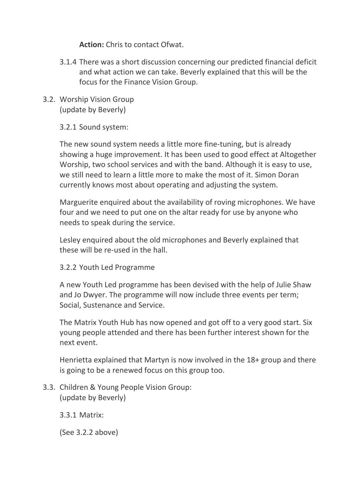**Action:** Chris to contact Ofwat.

- 3.1.4 There was a short discussion concerning our predicted financial deficit and what action we can take. Beverly explained that this will be the focus for the Finance Vision Group.
- 3.2. Worship Vision Group (update by Beverly)

3.2.1 Sound system:

The new sound system needs a little more fine-tuning, but is already showing a huge improvement. It has been used to good effect at Altogether Worship, two school services and with the band. Although it is easy to use, we still need to learn a little more to make the most of it. Simon Doran currently knows most about operating and adjusting the system.

Marguerite enquired about the availability of roving microphones. We have four and we need to put one on the altar ready for use by anyone who needs to speak during the service.

Lesley enquired about the old microphones and Beverly explained that these will be re-used in the hall.

3.2.2 Youth Led Programme

A new Youth Led programme has been devised with the help of Julie Shaw and Jo Dwyer. The programme will now include three events per term; Social, Sustenance and Service.

The Matrix Youth Hub has now opened and got off to a very good start. Six young people attended and there has been further interest shown for the next event.

Henrietta explained that Martyn is now involved in the 18+ group and there is going to be a renewed focus on this group too.

3.3. Children & Young People Vision Group: (update by Beverly)

3.3.1 Matrix:

(See 3.2.2 above)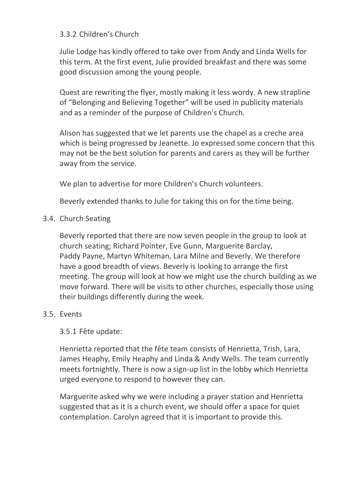## 3.3.2 Children's Church

Julie Lodge has kindly offered to take over from Andy and Linda Wells for this term. At the first event, Julie provided breakfast and there was some good discussion among the young people.

Quest are rewriting the flyer, mostly making it less wordy. A new strapline of "Belonging and Believing Together" will be used in publicity materials and as a reminder of the purpose of Children's Church.

Alison has suggested that we let parents use the chapel as a creche area which is being progressed by Jeanette. Jo expressed some concern that this may not be the best solution for parents and carers as they will be further away from the service.

We plan to advertise for more Children's Church volunteers.

Beverly extended thanks to Julie for taking this on for the time being.

3.4. Church Seating

Beverly reported that there are now seven people in the group to look at church seating; Richard Pointer, Eve Gunn, Marguerite Barclay, Paddy Payne, Martyn Whiteman, Lara Milne and Beverly. We therefore have a good breadth of views. Beverly is looking to arrange the first meeting. The group will look at how we might use the church building as we move forward. There will be visits to other churches, especially those using their buildings differently during the week.

### 3.5. Events

3.5.1 Fête update:

Henrietta reported that the fête team consists of Henrietta, Trish, Lara, James Heaphy, Emily Heaphy and Linda & Andy Wells. The team currently meets fortnightly. There is now a sign-up list in the lobby which Henrietta urged everyone to respond to however they can.

Marguerite asked why we were including a prayer station and Henrietta suggested that as it is a church event, we should offer a space for quiet contemplation. Carolyn agreed that it is important to provide this.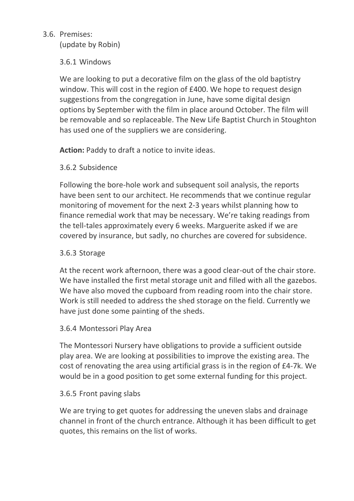# 3.6. Premises:

(update by Robin)

# 3.6.1 Windows

We are looking to put a decorative film on the glass of the old baptistry window. This will cost in the region of £400. We hope to request design suggestions from the congregation in June, have some digital design options by September with the film in place around October. The film will be removable and so replaceable. The New Life Baptist Church in Stoughton has used one of the suppliers we are considering.

**Action:** Paddy to draft a notice to invite ideas.

## 3.6.2 Subsidence

Following the bore-hole work and subsequent soil analysis, the reports have been sent to our architect. He recommends that we continue regular monitoring of movement for the next 2-3 years whilst planning how to finance remedial work that may be necessary. We're taking readings from the tell-tales approximately every 6 weeks. Marguerite asked if we are covered by insurance, but sadly, no churches are covered for subsidence.

# 3.6.3 Storage

At the recent work afternoon, there was a good clear-out of the chair store. We have installed the first metal storage unit and filled with all the gazebos. We have also moved the cupboard from reading room into the chair store. Work is still needed to address the shed storage on the field. Currently we have just done some painting of the sheds.

### 3.6.4 Montessori Play Area

The Montessori Nursery have obligations to provide a sufficient outside play area. We are looking at possibilities to improve the existing area. The cost of renovating the area using artificial grass is in the region of £4-7k. We would be in a good position to get some external funding for this project.

### 3.6.5 Front paving slabs

We are trying to get quotes for addressing the uneven slabs and drainage channel in front of the church entrance. Although it has been difficult to get quotes, this remains on the list of works.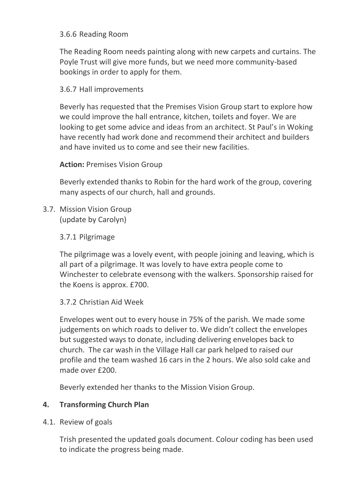## 3.6.6 Reading Room

The Reading Room needs painting along with new carpets and curtains. The Poyle Trust will give more funds, but we need more community-based bookings in order to apply for them.

### 3.6.7 Hall improvements

Beverly has requested that the Premises Vision Group start to explore how we could improve the hall entrance, kitchen, toilets and foyer. We are looking to get some advice and ideas from an architect. St Paul's in Woking have recently had work done and recommend their architect and builders and have invited us to come and see their new facilities.

### **Action: Premises Vision Group**

Beverly extended thanks to Robin for the hard work of the group, covering many aspects of our church, hall and grounds.

3.7. Mission Vision Group (update by Carolyn)

#### 3.7.1 Pilgrimage

The pilgrimage was a lovely event, with people joining and leaving, which is all part of a pilgrimage. It was lovely to have extra people come to Winchester to celebrate evensong with the walkers. Sponsorship raised for the Koens is approx. £700.

#### 3.7.2 Christian Aid Week

Envelopes went out to every house in 75% of the parish. We made some judgements on which roads to deliver to. We didn't collect the envelopes but suggested ways to donate, including delivering envelopes back to church. The car wash in the Village Hall car park helped to raised our profile and the team washed 16 cars in the 2 hours. We also sold cake and made over £200.

Beverly extended her thanks to the Mission Vision Group.

### **4. Transforming Church Plan**

4.1. Review of goals

Trish presented the updated goals document. Colour coding has been used to indicate the progress being made.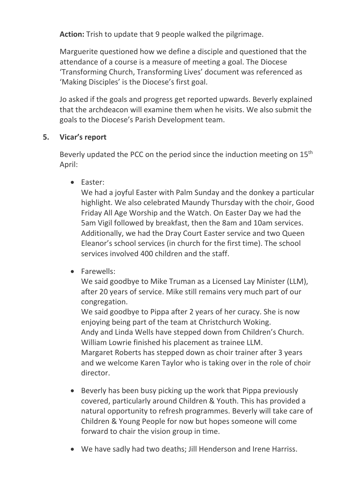**Action:** Trish to update that 9 people walked the pilgrimage.

Marguerite questioned how we define a disciple and questioned that the attendance of a course is a measure of meeting a goal. The Diocese 'Transforming Church, Transforming Lives' document was referenced as 'Making Disciples' is the Diocese's first goal.

Jo asked if the goals and progress get reported upwards. Beverly explained that the archdeacon will examine them when he visits. We also submit the goals to the Diocese's Parish Development team.

## **5. Vicar's report**

Beverly updated the PCC on the period since the induction meeting on 15<sup>th</sup> April:

• Easter:

We had a joyful Easter with Palm Sunday and the donkey a particular highlight. We also celebrated Maundy Thursday with the choir, Good Friday All Age Worship and the Watch. On Easter Day we had the 5am Vigil followed by breakfast, then the 8am and 10am services. Additionally, we had the Dray Court Easter service and two Queen Eleanor's school services (in church for the first time). The school services involved 400 children and the staff.

• Farewells:

We said goodbye to Mike Truman as a Licensed Lay Minister (LLM), after 20 years of service. Mike still remains very much part of our congregation.

We said goodbye to Pippa after 2 years of her curacy. She is now enjoying being part of the team at Christchurch Woking. Andy and Linda Wells have stepped down from Children's Church. William Lowrie finished his placement as trainee LLM. Margaret Roberts has stepped down as choir trainer after 3 years and we welcome Karen Taylor who is taking over in the role of choir director.

- Beverly has been busy picking up the work that Pippa previously covered, particularly around Children & Youth. This has provided a natural opportunity to refresh programmes. Beverly will take care of Children & Young People for now but hopes someone will come forward to chair the vision group in time.
- We have sadly had two deaths; Jill Henderson and Irene Harriss.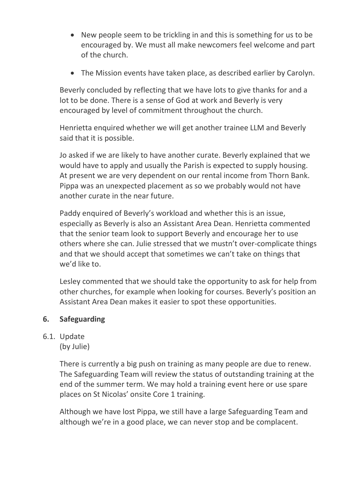- New people seem to be trickling in and this is something for us to be encouraged by. We must all make newcomers feel welcome and part of the church.
- The Mission events have taken place, as described earlier by Carolyn.

Beverly concluded by reflecting that we have lots to give thanks for and a lot to be done. There is a sense of God at work and Beverly is very encouraged by level of commitment throughout the church.

Henrietta enquired whether we will get another trainee LLM and Beverly said that it is possible.

Jo asked if we are likely to have another curate. Beverly explained that we would have to apply and usually the Parish is expected to supply housing. At present we are very dependent on our rental income from Thorn Bank. Pippa was an unexpected placement as so we probably would not have another curate in the near future.

Paddy enquired of Beverly's workload and whether this is an issue, especially as Beverly is also an Assistant Area Dean. Henrietta commented that the senior team look to support Beverly and encourage her to use others where she can. Julie stressed that we mustn't over-complicate things and that we should accept that sometimes we can't take on things that we'd like to.

Lesley commented that we should take the opportunity to ask for help from other churches, for example when looking for courses. Beverly's position an Assistant Area Dean makes it easier to spot these opportunities.

# **6. Safeguarding**

### 6.1. Update

(by Julie)

There is currently a big push on training as many people are due to renew. The Safeguarding Team will review the status of outstanding training at the end of the summer term. We may hold a training event here or use spare places on St Nicolas' onsite Core 1 training.

Although we have lost Pippa, we still have a large Safeguarding Team and although we're in a good place, we can never stop and be complacent.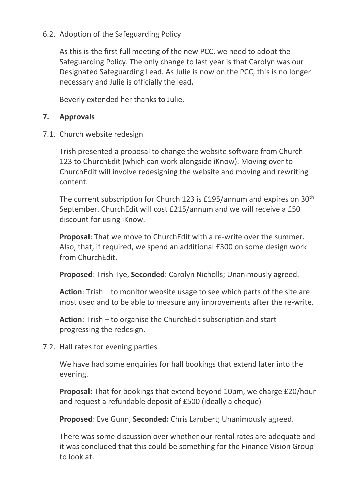## 6.2. Adoption of the Safeguarding Policy

As this is the first full meeting of the new PCC, we need to adopt the Safeguarding Policy. The only change to last year is that Carolyn was our Designated Safeguarding Lead. As Julie is now on the PCC, this is no longer necessary and Julie is officially the lead.

Beverly extended her thanks to Julie.

### **7. Approvals**

7.1. Church website redesign

Trish presented a proposal to change the website software from Church 123 to ChurchEdit (which can work alongside iKnow). Moving over to ChurchEdit will involve redesigning the website and moving and rewriting content.

The current subscription for Church 123 is £195/annum and expires on 30th September. ChurchEdit will cost £215/annum and we will receive a £50 discount for using iKnow.

**Proposal**: That we move to ChurchEdit with a re-write over the summer. Also, that, if required, we spend an additional £300 on some design work from ChurchEdit.

**Proposed**: Trish Tye, **Seconded**: Carolyn Nicholls; Unanimously agreed.

**Action**: Trish – to monitor website usage to see which parts of the site are most used and to be able to measure any improvements after the re-write.

**Action**: Trish – to organise the ChurchEdit subscription and start progressing the redesign.

7.2. Hall rates for evening parties

We have had some enquiries for hall bookings that extend later into the evening.

**Proposal:** That for bookings that extend beyond 10pm, we charge £20/hour and request a refundable deposit of £500 (ideally a cheque)

**Proposed**: Eve Gunn, **Seconded:** Chris Lambert; Unanimously agreed.

There was some discussion over whether our rental rates are adequate and it was concluded that this could be something for the Finance Vision Group to look at.